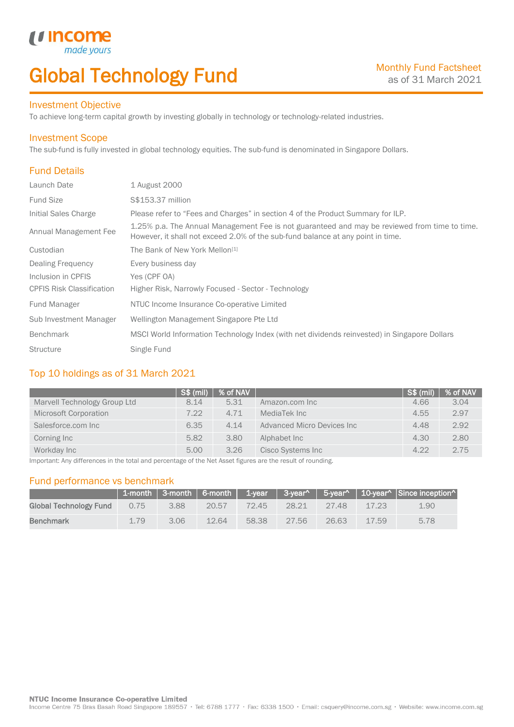# Global Technology Fund

### Investment Objective

To achieve long-term capital growth by investing globally in technology or technology-related industries.

### Investment Scope

 $\bigcup_{\text{made you}}$ 

The sub-fund is fully invested in global technology equities. The sub-fund is denominated in Singapore Dollars.

## Fund Details

I

| Launch Date                      | 1 August 2000                                                                                                                                                                    |
|----------------------------------|----------------------------------------------------------------------------------------------------------------------------------------------------------------------------------|
| <b>Fund Size</b>                 | S\$153.37 million                                                                                                                                                                |
| Initial Sales Charge             | Please refer to "Fees and Charges" in section 4 of the Product Summary for ILP.                                                                                                  |
| Annual Management Fee            | 1.25% p.a. The Annual Management Fee is not guaranteed and may be reviewed from time to time.<br>However, it shall not exceed 2.0% of the sub-fund balance at any point in time. |
| Custodian                        | The Bank of New York Mellon <sup>[1]</sup>                                                                                                                                       |
| <b>Dealing Frequency</b>         | Every business day                                                                                                                                                               |
| Inclusion in CPFIS               | Yes (CPF OA)                                                                                                                                                                     |
| <b>CPFIS Risk Classification</b> | Higher Risk, Narrowly Focused - Sector - Technology                                                                                                                              |
| Fund Manager                     | NTUC Income Insurance Co-operative Limited                                                                                                                                       |
| Sub Investment Manager           | Wellington Management Singapore Pte Ltd                                                                                                                                          |
| <b>Benchmark</b>                 | MSCI World Information Technology Index (with net dividends reinvested) in Singapore Dollars                                                                                     |
| <b>Structure</b>                 | Single Fund                                                                                                                                                                      |

## Top 10 holdings as of 31 March 2021

|                              | $S\$ (mil) | % of NAV $\mid$ |                            | $S\$ (mil) | % of NAV |
|------------------------------|------------|-----------------|----------------------------|------------|----------|
| Marvell Technology Group Ltd | 8.14       | 5.31            | Amazon.com Inc             | 4.66       | 3.04     |
| Microsoft Corporation        | 7.22       | 4.71            | MediaTek Inc               | 4.55       | 2.97     |
| Salesforce.com Inc           | 6.35       | 4.14            | Advanced Micro Devices Inc | 4.48       | 2.92     |
| Corning Inc                  | 5.82       | 3.80            | Alphabet Inc               | 4.30       | 2.80     |
| Workday Inc                  | 5.00       | 3.26            | Cisco Systems Inc          | 4.22       | 2.75     |

Important: Any differences in the total and percentage of the Net Asset figures are the result of rounding.

## Fund performance vs benchmark

|                        |      |      |       |       |       |       |       | 1-month   3-month   6-month   1-year   3-year^   5-year^   10-year^   Since inception^ |
|------------------------|------|------|-------|-------|-------|-------|-------|----------------------------------------------------------------------------------------|
| Global Technology Fund | 0.75 | 3.88 | 20.57 | 72.45 | 28.21 | 27.48 | 17.23 | 1.90                                                                                   |
| <b>Benchmark</b>       | 1.79 | 3.06 | 12.64 | 58.38 | 27.56 | 26.63 | 17.59 | 5.78                                                                                   |

Income Centre 75 Bras Basah Road Singapore 189557 · Tel: 6788 1777 · Fax: 6338 1500 · Email: csquery@income.com.sg · Website: www.income.com.sg